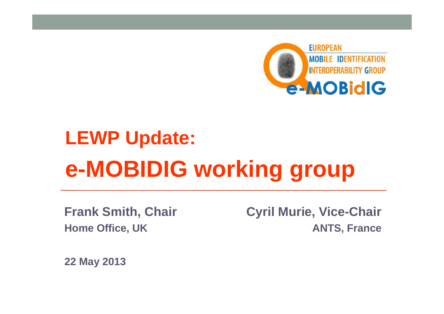

# **LEWP Update:e-MOBIDIG working group**

**Frank Smith, ChairHome Office, UK**

**Cyril Murie, Vice-ChairANTS, France**

**22 May 2013**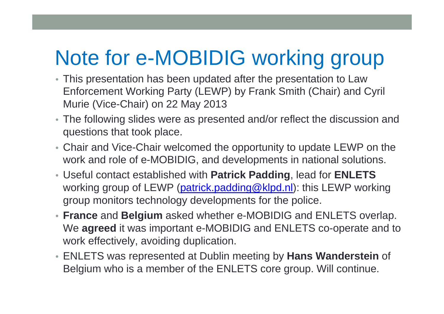# Note for e-MOBIDIG working group

- This presentation has been updated after the presentation to Law Enforcement Working Party (LEWP) by Frank Smith (Chair) and Cyril Murie (Vice-Chair) on 22 May 2013
- The following slides were as presented and/or reflect the discussion and questions that took place.
- Chair and Vice-Chair welcomed the opportunity to update LEWP on the work and role of e-MOBIDIG, and developments in national solutions.
- Useful contact established with **Patrick Padding**, lead for **ENLETS**working group of LEWP (<u>patrick.padding@klpd.nl</u>): this LEWP working group monitors technology developments for the police.
- **France** and **Belgium** asked whether e-MOBIDIG and ENLETS overlap.<br>We agreed it was important a MOBIDIC and ENLETS co eperate and to We **agreed** it was important e-MOBIDIG and ENLETS co-operate and to work effectively, avoiding duplication.
- ENLETS was represented at Dublin meeting by **Hans Wanderstein** of Belgium who is a member of the ENLETS core group. Will continue.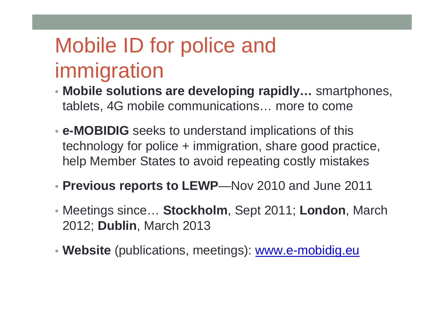# Mobile ID for police and immigration

- **Mobile solutions are developing rapidly...** smartphones,<br>tablets, 4G mobile communications more to come tablets, 4G mobile communications… more to come
- **e-MOBIDIG** seeks to understand implications of this technology for police + immigration, share good practice, help Member States to avoid repeating costly mistakes
- **Previous reports to LEWP**—Nov 2010 and June 2011
- Meetings since… **Stockholm**, Sept 2011; **London**, March 2012; **Dublin**, March 2013
- **Website** (publications, meetings): www.e-mobidig.eu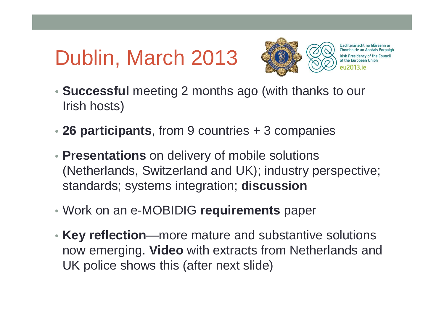# Dublin, March 2013



Uachtaránacht na hÉireann ar Chomhairle an Aontais Eorpaigh **Irish Presidency of the Council** of the European Union

- **Successful** meeting 2 months ago (with thanks to our Irish hosts)
- **26 participants**, from 9 countries + 3 companies
- **Presentations** on delivery of mobile solutions (Netherlands, Switzerland and UK); industry perspective; standards; systems integration; **discussion**
- Work on an e-MOBIDIG **requirements** paper
- **Key reflection**—more mature and substantive solutions now emerging. **Video** with extracts from Netherlands and UK police shows this (after next slide)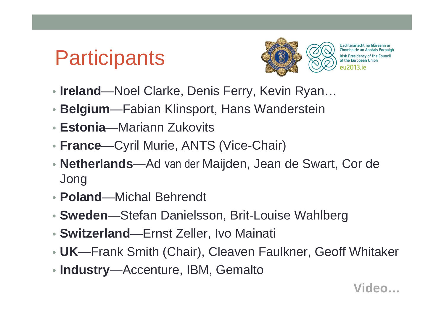### **Participants**



Uachtaránacht na hÉireann ar Chomhairle an Aontais Eorpaigh **Irish Presidency of the Council** of the European Union eu2013 ie

- **Ireland**—Noel Clarke, Denis Ferry, Kevin Ryan…
- **Belgium**—Fabian Klinsport, Hans Wanderstein
- **Estonia**—Mariann Zukovits
- **France**—Cyril Murie, ANTS (Vice-Chair)
- **Netherlands**—Ad van der Maijden, Jean de Swart, Cor de Jong
- **Poland**—Michal Behrendt
- **Sweden**—Stefan Danielsson, Brit-Louise Wahlberg
- **Switzerland**—Ernst Zeller, Ivo Mainati
- **UK**—Frank Smith (Chair), Cleaven Faulkner, Geoff Whitaker
- **Industry**—Accenture, IBM, Gemalto

**Video…**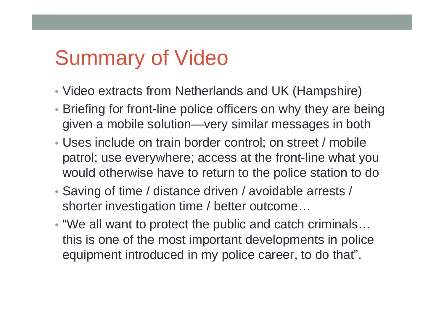### Summary of Video

- Video extracts from Netherlands and UK (Hampshire)
- Briefing for front-line police officers on why they are being given a mobile solution—very similar messages in both
- Uses include on train border control; on street / mobile patrol; use everywhere; access at the front-line what you would otherwise have to return to the police station to do
- Saving of time / distance driven / avoidable arrests / shorter investigation time / better outcome…
- "We all want to protect the public and catch criminals…this is one of the most important developments in police equipment introduced in my police career, to do that".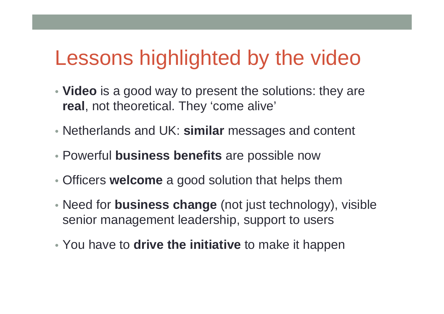### Lessons highlighted by the video

- **Video** is a good way to present the solutions: they are **real**, not theoretical. They 'come alive'
- Netherlands and UK: **similar** messages and content
- Powerful **business benefits** are possible now
- Officers **welcome** a good solution that helps them
- Need for **business change** (not just technology), visible senior management leadership, support to users
- You have to **drive the initiative** to make it happen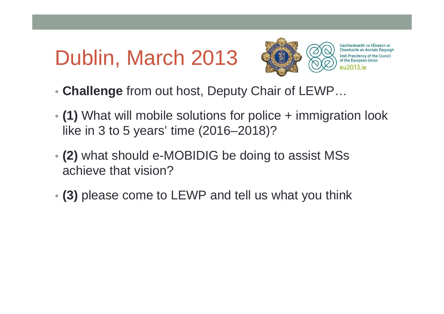# Dublin, March 2013



Uachtaránacht na hÉireann ar Chomhairle an Aontais Eorpaigh **Irish Presidency of the Council** of the European Union eu2013 ie

- **Challenge** from out host, Deputy Chair of LEWP…
- **(1)** What will mobile solutions for police + immigration look like in 3 to 5 years' time (2016–2018)?
- **(2)** what should e-MOBIDIG be doing to assist MSs achieve that vision?
- **(3)** please come to LEWP and tell us what you think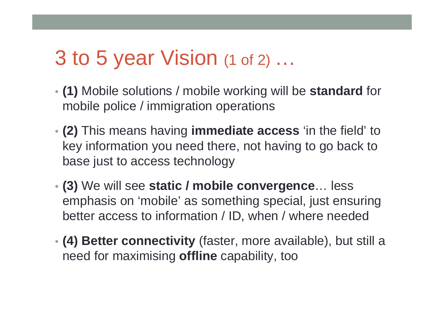#### 3 to 5 year Vision (1 of 2) …

- **(1)** Mobile solutions / mobile working will be **standard** for mobile police / immigration operations
- **(2)** This means having **immediate access** 'in the field' to key information you need there, not having to go back to base just to access technology
- **(3)** We will see **static / mobile convergence**… less emphasis on 'mobile' as something special, just ensuring better access to information / ID, when / where needed
- **(4) Better connectivity** (faster, more available), but still a need for maximising **offline** capability, too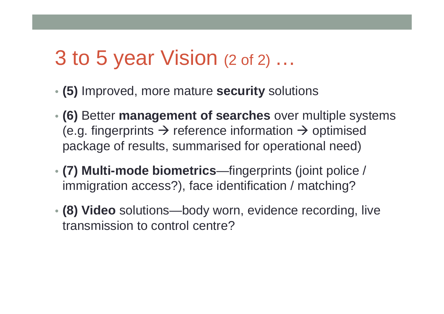#### 3 to 5 year Vision (2 of 2) …

- **(5)** Improved, more mature **security** solutions
- **(6)** Better **management of searches** over multiple systems (e.g. fingerprints → reference information → optimised<br>package of results, summarised for operational need) package of results, summarised for operational need)
- **(7) Multi-mode biometrics**—fingerprints (joint police / immigration access?), face identification / matching?
- **(8) Video** solutions—body worn, evidence recording, live transmission to control centre?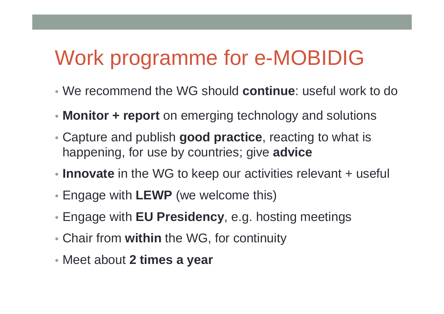# Work programme for e-MOBIDIG

- We recommend the WG should **continue**: useful work to do
- **Monitor + report** on emerging technology and solutions
- Capture and publish **good practice**, reacting to what is happening, for use by countries; give **advice**
- **Innovate** in the WG to keep our activities relevant + useful
- Engage with **LEWP** (we welcome this)
- Engage with **EU Presidency**, e.g. hosting meetings
- Chair from **within** the WG, for continuity
- Meet about **2 times a year**